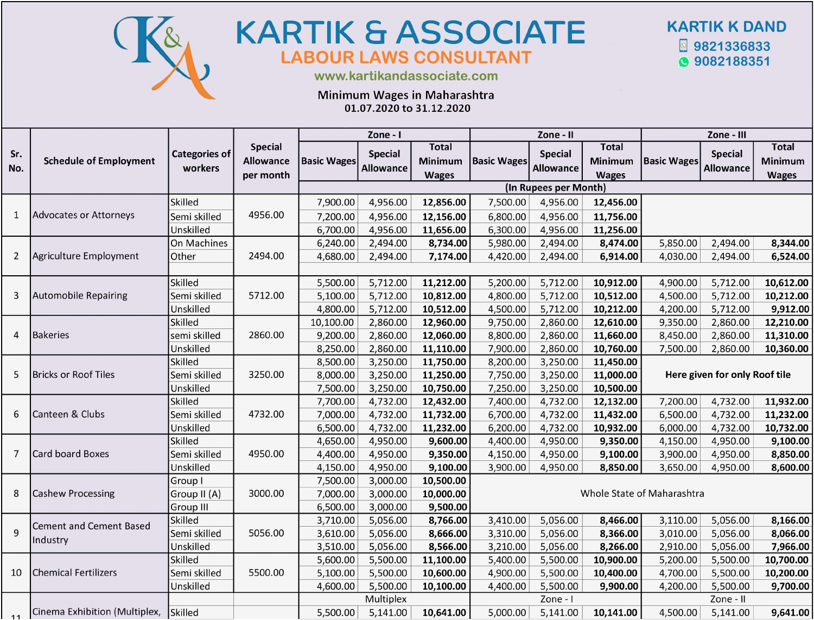

## **KARTIK & ASSOCIATE** LABOUR LAWS CONSULTANT



www.kartikandassociate.com

Minimum Wages in Maharashtra

01.07.2020 to 31.12.2020

|            |                                |                                 |                                                 |                    | Zone - I                           |                                         |                            | Zone - II                          |                                                |                               | Zone - III                         |                                                |  |  |  |
|------------|--------------------------------|---------------------------------|-------------------------------------------------|--------------------|------------------------------------|-----------------------------------------|----------------------------|------------------------------------|------------------------------------------------|-------------------------------|------------------------------------|------------------------------------------------|--|--|--|
| Sr.<br>No. | <b>Schedule of Employment</b>  | <b>Categories of</b><br>workers | <b>Special</b><br><b>Allowance</b><br>per month | <b>Basic Wages</b> | <b>Special</b><br><b>Allowance</b> | Total<br><b>Minimum</b><br><b>Wages</b> | <b>Basic Wages</b>         | <b>Special</b><br><b>Allowance</b> | <b>Total</b><br><b>Minimum</b><br><b>Wages</b> | <b>Basic Wages</b>            | <b>Special</b><br><b>Allowance</b> | <b>Total</b><br><b>Minimum</b><br><b>Wages</b> |  |  |  |
|            |                                |                                 |                                                 |                    |                                    |                                         |                            | (In Rupees per Month)              |                                                |                               |                                    |                                                |  |  |  |
|            |                                | <b>Skilled</b>                  |                                                 | 7,900.00           | 4,956.00                           | 12,856.00                               | 7,500.00                   | 4,956.00                           | 12,456.00                                      |                               |                                    |                                                |  |  |  |
| 1          | Advocates or Attorneys         | Semi skilled                    | 4956.00                                         | 7,200.00           | 4,956.00                           | 12,156.00                               | 6,800.00                   | 4,956.00                           | 11,756.00                                      |                               |                                    |                                                |  |  |  |
|            |                                | Unskilled                       |                                                 | 6,700.00           | 4,956.00                           | 11,656.00                               | 6,300.00                   | 4,956.00                           | 11,256.00                                      |                               |                                    |                                                |  |  |  |
|            |                                | On Machines                     |                                                 | 6,240.00           | 2,494.00                           | 8,734.00                                | 5,980.00                   | 2,494.00                           | 8,474.00                                       | 5,850.00                      | 2,494.00                           | 8,344.00                                       |  |  |  |
| 2          | Agriculture Employment         | Other                           | 2494.00                                         | 4,680.00           | 2,494.00                           | 7,174.00                                | 4,420.00                   | 2,494.00                           | 6,914.00                                       | 4,030.00                      | 2,494.00                           | 6,524.00                                       |  |  |  |
|            |                                |                                 |                                                 |                    |                                    |                                         |                            |                                    |                                                |                               |                                    |                                                |  |  |  |
|            |                                | Skilled                         |                                                 | 5,500.00           | 5,712.00                           | 11,212.00                               | 5,200.00                   | 5,712.00                           | 10,912.00                                      | 4,900.00                      | 5,712.00                           | 10,612.00                                      |  |  |  |
| 3          | <b>Automobile Repairing</b>    | Semi skilled                    | 5712.00                                         | 5,100.00           | 5,712.00                           | 10,812.00                               | 4,800.00                   | 5,712.00                           | 10,512.00                                      | 4,500.00                      | 5,712.00                           | 10,212.00                                      |  |  |  |
|            |                                | Unskilled                       |                                                 | 4,800.00           | 5,712.00                           | 10,512.00                               | 4,500.00                   | 5,712.00                           | 10,212.00                                      | 4,200.00                      | 5,712.00                           | 9,912.00                                       |  |  |  |
|            | <b>Bakeries</b>                | Skilled                         | 2860.00                                         | 10,100.00          | 2,860.00                           | 12,960.00                               | 9,750.00                   | 2,860.00                           | 12,610.00                                      | 9,350.00                      | 2,860.00                           | 12,210.00                                      |  |  |  |
| 4          |                                | semi skilled                    |                                                 | 9,200.00           | 2,860.00                           | 12,060.00                               | 8,800.00                   | 2,860.00                           | 11,660.00                                      | 8,450.00                      | 2,860.00                           | 11,310.00                                      |  |  |  |
|            |                                | Unskilled                       |                                                 | 8,250.00           | 2,860.00                           | 11,110.00                               | 7,900.00                   | 2,860.00                           | 10,760.00                                      | 7,500.00                      | 2,860.00                           | 10,360.00                                      |  |  |  |
|            | <b>Bricks or Roof Tiles</b>    | Skilled                         |                                                 | 8,500.00           | 3,250.00                           | 11,750.00                               | 8,200.00                   | 3,250.00                           | 11,450.00                                      |                               |                                    |                                                |  |  |  |
| 5          |                                | Semi skilled                    | 3250.00                                         | 8,000.00           | 3,250.00                           | 11,250.00                               | 7,750.00                   | 3,250.00                           | 11,000.00                                      | Here given for only Roof tile |                                    |                                                |  |  |  |
|            |                                | Unskilled                       |                                                 | 7,500.00           | 3,250.00                           | 10,750.00                               | 7,250.00                   | 3,250.00                           | 10,500.00                                      |                               |                                    |                                                |  |  |  |
|            |                                | Skilled                         |                                                 | 7,700.00           | 4,732.00                           | 12,432.00                               | 7,400.00                   | 4,732.00                           | 12,132.00                                      | 7,200.00                      | 4,732.00                           | 11,932.00                                      |  |  |  |
| 6          | Canteen & Clubs                | Semi skilled                    | 4732.00                                         | 7,000.00           | 4,732.00                           | 11,732.00                               | 6,700.00                   | 4,732.00                           | 11,432.00                                      | 6,500.00                      | 4,732.00                           | 11,232.00                                      |  |  |  |
|            |                                | Unskilled                       |                                                 | 6,500.00           | 4,732.00                           | 11,232.00                               | 6,200.00                   | 4,732.00                           | 10,932.00                                      | 6,000.00                      | 4,732.00                           | 10,732.00                                      |  |  |  |
|            |                                | Skilled                         |                                                 | 4,650.00           | 4,950.00                           | 9,600.00                                | 4,400.00                   | 4,950.00                           | 9,350.00                                       | 4,150.00                      | 4,950.00                           | 9,100.00                                       |  |  |  |
| 7          | <b>Card board Boxes</b>        | Semi skilled                    | 4950.00                                         | 4,400.00           | 4,950.00                           | 9,350.00                                | 4,150.00                   | 4,950.00                           | 9,100.00                                       | 3,900.00                      | 4,950.00                           | 8,850.00                                       |  |  |  |
|            |                                | Unskilled                       |                                                 | 4,150.00           | 4,950.00                           | 9,100.00                                | 3,900.00                   | 4,950.00                           | 8,850.00                                       | 3,650.00                      | 4,950.00                           | 8,600.00                                       |  |  |  |
|            |                                | Group I                         |                                                 | 7,500.00           | 3,000.00                           | 10,500.00                               | Whole State of Maharashtra |                                    |                                                |                               |                                    |                                                |  |  |  |
| 8          | <b>Cashew Processing</b>       | Group II (A)                    | 3000.00                                         | 7,000.00           | 3,000.00                           | 10,000.00                               |                            |                                    |                                                |                               |                                    |                                                |  |  |  |
|            |                                | Group III                       |                                                 | 6,500.00           | 3,000.00                           | 9,500.00                                |                            |                                    |                                                |                               |                                    |                                                |  |  |  |
|            | <b>Cement and Cement Based</b> | Skilled                         |                                                 | 3,710.00           | 5,056.00                           | 8,766.00                                | 3,410.00                   | 5,056.00                           | 8,466.00                                       | 3,110.00                      | 5,056.00                           | 8,166.00                                       |  |  |  |
| 9          | Industry                       | Semi skilled                    | 5056.00                                         | 3,610.00           | 5,056.00                           | 8,666.00                                | 3,310.00                   | 5,056.00                           | 8,366.00                                       | 3,010.00                      | 5,056.00                           | 8,066.00                                       |  |  |  |
|            |                                | Unskilled                       |                                                 | 3,510.00           | 5,056.00                           | 8,566.00                                | 3,210.00                   | 5,056.00                           | 8,266.00                                       | 2,910.00                      | 5,056.00                           | 7,966.00                                       |  |  |  |
|            |                                | Skilled                         |                                                 | 5,600.00           | 5,500.00                           | 11,100.00                               | 5,400.00                   | 5,500.00                           | 10,900.00                                      | 5,200.00                      | 5,500.00                           | 10,700.00                                      |  |  |  |
| 10         | <b>Chemical Fertilizers</b>    | Semi skilled                    | 5500.00                                         | 5,100.00           | 5,500.00                           | 10,600.00                               | 4,900.00                   | 5,500.00                           | 10,400.00                                      | 4,700.00                      | 5,500.00                           | 10,200.00                                      |  |  |  |
|            |                                | Unskilled                       |                                                 | 4,600.00           | 5,500.00                           | 10,100.00                               | 4,400.00                   | 5,500.00                           | 9,900.00                                       | 4,200.00                      | 5,500.00                           | 9,700.00                                       |  |  |  |
|            |                                |                                 |                                                 |                    | Multiplex                          |                                         |                            | Zone - I                           |                                                |                               | Zone - II                          |                                                |  |  |  |
| 11         | Cinema Exhibition (Multiplex,  | Skilled                         |                                                 | 5,500.00           | 5,141.00                           | 10,641.00                               | 5,000.00                   | 5,141.00                           | 10,141.00                                      | 4,500.00                      | 5,141.00                           | 9,641.00                                       |  |  |  |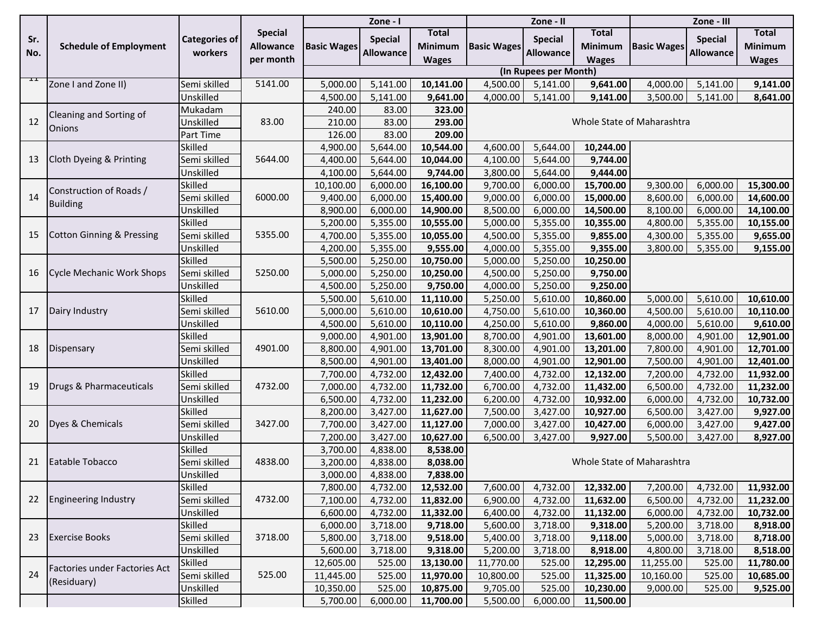|     |                                      |                      |                  |                    | Zone - I         |                |                    | Zone - II             |                |                            | Zone - III       |                |  |
|-----|--------------------------------------|----------------------|------------------|--------------------|------------------|----------------|--------------------|-----------------------|----------------|----------------------------|------------------|----------------|--|
| Sr. |                                      | <b>Categories of</b> | <b>Special</b>   |                    | <b>Special</b>   | <b>Total</b>   |                    | <b>Special</b>        | <b>Total</b>   |                            | <b>Special</b>   | <b>Total</b>   |  |
| No. | <b>Schedule of Employment</b>        | workers              | <b>Allowance</b> | <b>Basic Wages</b> | <b>Allowance</b> | <b>Minimum</b> | <b>Basic Wages</b> | <b>Allowance</b>      | <b>Minimum</b> | <b>Basic Wages</b>         | <b>Allowance</b> | <b>Minimum</b> |  |
|     |                                      |                      | per month        |                    |                  | <b>Wages</b>   |                    |                       | <b>Wages</b>   |                            |                  | <b>Wages</b>   |  |
|     |                                      |                      |                  |                    |                  |                |                    | (In Rupees per Month) |                |                            |                  |                |  |
| ᄑ   | Zone I and Zone II)                  | Semi skilled         | 5141.00          | 5,000.00           | 5,141.00         | 10,141.00      | 4,500.00           | 5,141.00              | 9,641.00       | 4,000.00                   | 5,141.00         | 9,141.00       |  |
|     |                                      | Unskilled            |                  | 4,500.00           | 5,141.00         | 9,641.00       | 4,000.00           | 5,141.00              | 9,141.00       | 3,500.00                   | 5,141.00         | 8,641.00       |  |
|     | Cleaning and Sorting of              | Mukadam              |                  | 240.00             | 83.00            | 323.00         |                    |                       |                |                            |                  |                |  |
| 12  | <b>Onions</b>                        | Unskilled            | 83.00            | 210.00             | 83.00            | 293.00         |                    |                       |                | Whole State of Maharashtra |                  |                |  |
|     |                                      | Part Time            |                  | 126.00             | 83.00            | 209.00         |                    |                       |                |                            |                  |                |  |
|     |                                      | Skilled              |                  | 4,900.00           | 5,644.00         | 10,544.00      | 4,600.00           | 5,644.00              | 10,244.00      |                            |                  |                |  |
| 13  | Cloth Dyeing & Printing              | Semi skilled         | 5644.00          | 4,400.00           | 5,644.00         | 10,044.00      | 4,100.00           | 5,644.00              | 9,744.00       |                            |                  |                |  |
|     |                                      | Unskilled            |                  | 4,100.00           | 5,644.00         | 9,744.00       | 3,800.00           | 5,644.00              | 9,444.00       |                            |                  |                |  |
|     | Construction of Roads /              | Skilled              |                  | 10,100.00          | 6,000.00         | 16,100.00      | 9,700.00           | 6,000.00              | 15,700.00      | 9,300.00                   | 6,000.00         | 15,300.00      |  |
| 14  |                                      | Semi skilled         | 6000.00          | 9,400.00           | 6,000.00         | 15,400.00      | 9,000.00           | 6,000.00              | 15,000.00      | 8,600.00                   | 6,000.00         | 14,600.00      |  |
|     | <b>Building</b>                      | Unskilled            |                  | 8,900.00           | 6,000.00         | 14,900.00      | 8,500.00           | 6,000.00              | 14,500.00      | 8,100.00                   | 6,000.00         | 14,100.00      |  |
|     |                                      | Skilled              |                  | 5,200.00           | 5,355.00         | 10,555.00      | 5,000.00           | 5,355.00              | 10,355.00      | 4,800.00                   | 5,355.00         | 10,155.00      |  |
| 15  | <b>Cotton Ginning &amp; Pressing</b> | Semi skilled         | 5355.00          | 4,700.00           | 5,355.00         | 10,055.00      | 4,500.00           | 5,355.00              | 9,855.00       | 4,300.00                   | 5,355.00         | 9,655.00       |  |
|     |                                      | Unskilled            |                  | 4,200.00           | 5,355.00         | 9,555.00       | 4,000.00           | 5,355.00              | 9,355.00       | 3,800.00                   | 5,355.00         | 9,155.00       |  |
|     | <b>Cycle Mechanic Work Shops</b>     | Skilled              | 5250.00          | 5,500.00           | 5,250.00         | 10,750.00      | 5,000.00           | 5,250.00              | 10,250.00      |                            |                  |                |  |
| 16  |                                      | Semi skilled         |                  | 5,000.00           | 5,250.00         | 10,250.00      | 4,500.00           | 5,250.00              | 9,750.00       |                            |                  |                |  |
|     |                                      | Unskilled            |                  | 4,500.00           | 5,250.00         | 9,750.00       | 4,000.00           | 5,250.00              | 9,250.00       |                            |                  |                |  |
| 17  | Dairy Industry                       | Skilled              | 5610.00          | 5,500.00           | 5,610.00         | 11,110.00      | 5,250.00           | 5,610.00              | 10,860.00      | 5,000.00                   | 5,610.00         | 10,610.00      |  |
|     |                                      | Semi skilled         |                  | 5,000.00           | 5,610.00         | 10,610.00      | 4,750.00           | 5,610.00              | 10,360.00      | 4,500.00                   | 5,610.00         | 10,110.00      |  |
|     |                                      | Unskilled            |                  | 4,500.00           | 5,610.00         | 10,110.00      | 4,250.00           | 5,610.00              | 9,860.00       | 4,000.00                   | 5,610.00         | 9,610.00       |  |
|     |                                      | Skilled              |                  | 9,000.00           | 4,901.00         | 13,901.00      | 8,700.00           | 4,901.00              | 13,601.00      | 8,000.00                   | 4,901.00         | 12,901.00      |  |
| 18  | Dispensary                           | Semi skilled         | 4901.00          | 8,800.00           | 4,901.00         | 13,701.00      | 8,300.00           | 4,901.00              | 13,201.00      | 7,800.00                   | 4,901.00         | 12,701.00      |  |
|     |                                      | Unskilled            |                  | 8,500.00           | 4,901.00         | 13,401.00      | 8,000.00           | 4,901.00              | 12,901.00      | 7,500.00                   | 4,901.00         | 12,401.00      |  |
|     |                                      | Skilled              |                  | 7,700.00           | 4,732.00         | 12,432.00      | 7,400.00           | 4,732.00              | 12,132.00      | 7,200.00                   | 4,732.00         | 11,932.00      |  |
| 19  | Drugs & Pharmaceuticals              | Semi skilled         | 4732.00          | 7,000.00           | 4,732.00         | 11,732.00      | 6,700.00           | 4,732.00              | 11,432.00      | 6,500.00                   | 4,732.00         | 11,232.00      |  |
|     |                                      | Unskilled            |                  | 6,500.00           | 4,732.00         | 11,232.00      | 6,200.00           | 4,732.00              | 10,932.00      | 6,000.00                   | 4,732.00         | 10,732.00      |  |
|     |                                      | Skilled              |                  | 8,200.00           | 3,427.00         | 11,627.00      | 7,500.00           | 3,427.00              | 10,927.00      | 6,500.00                   | 3,427.00         | 9,927.00       |  |
| 20  | Dyes & Chemicals                     | Semi skilled         | 3427.00          | 7,700.00           | 3,427.00         | 11,127.00      | 7,000.00           | 3,427.00              | 10,427.00      | 6,000.00                   | 3,427.00         | 9,427.00       |  |
|     |                                      | Unskilled            |                  | 7,200.00           | 3,427.00         | 10,627.00      | 6,500.00           | 3,427.00              | 9,927.00       | 5,500.00                   | 3,427.00         | 8,927.00       |  |
|     |                                      | Skilled              |                  | 3,700.00           | 4,838.00         | 8,538.00       |                    |                       |                |                            |                  |                |  |
| 21  | Eatable Tobacco                      | Semi skilled         | 4838.00          | 3,200.00           | 4,838.00         | 8,038.00       |                    |                       |                | Whole State of Maharashtra |                  |                |  |
|     |                                      | Unskilled            |                  | 3,000.00           | 4,838.00         | 7,838.00       |                    |                       |                |                            |                  |                |  |
|     |                                      | Skilled              |                  | 7,800.00           | 4,732.00         | 12,532.00      | 7,600.00           | 4,732.00              | 12,332.00      | 7,200.00                   | 4,732.00         | 11,932.00      |  |
| 22  | <b>Engineering Industry</b>          | Semi skilled         | 4732.00          | 7,100.00           | 4,732.00         | 11,832.00      | 6,900.00           | 4,732.00              | 11,632.00      | 6,500.00                   | 4,732.00         | 11,232.00      |  |
|     |                                      | Unskilled            |                  | 6,600.00           | 4,732.00         | 11,332.00      | 6,400.00           | 4,732.00              | 11,132.00      | 6,000.00                   | 4,732.00         | 10,732.00      |  |
|     |                                      | Skilled              |                  | 6,000.00           | 3,718.00         | 9,718.00       | 5,600.00           | 3,718.00              | 9,318.00       | 5,200.00                   | 3,718.00         | 8,918.00       |  |
| 23  | <b>Exercise Books</b>                | Semi skilled         | 3718.00          | 5,800.00           | 3,718.00         | 9,518.00       | 5,400.00           | 3,718.00              | 9,118.00       | 5,000.00                   | 3,718.00         | 8,718.00       |  |
|     |                                      | Unskilled            |                  | 5,600.00           | 3,718.00         | 9,318.00       | 5,200.00           | 3,718.00              | 8,918.00       | 4,800.00                   | 3,718.00         | 8,518.00       |  |
|     |                                      | Skilled              |                  | 12,605.00          | 525.00           | 13,130.00      | 11,770.00          | 525.00                | 12,295.00      | 11,255.00                  | 525.00           | 11,780.00      |  |
| 24  | Factories under Factories Act        | Semi skilled         | 525.00           | 11,445.00          | 525.00           | 11,970.00      | 10,800.00          | 525.00                | 11,325.00      | 10,160.00                  | 525.00           | 10,685.00      |  |
|     | (Residuary)                          | Unskilled            |                  | 10,350.00          | 525.00           | 10,875.00      | 9,705.00           | 525.00                | 10,230.00      | 9,000.00                   | 525.00           | 9,525.00       |  |
|     |                                      | Skilled              |                  | 5,700.00           | 6,000.00         | 11,700.00      | 5,500.00           | 6,000.00              | 11,500.00      |                            |                  |                |  |
|     |                                      |                      |                  |                    |                  |                |                    |                       |                |                            |                  |                |  |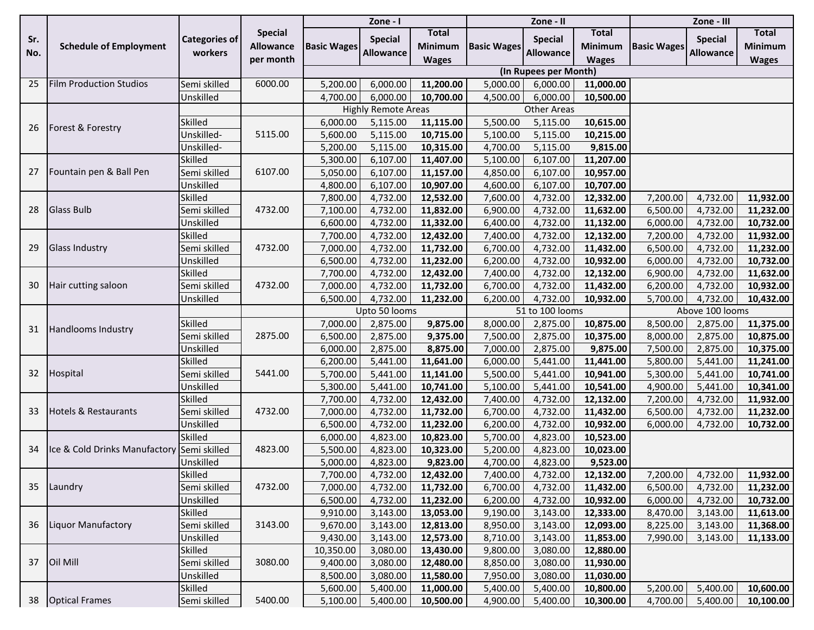| <b>Special</b><br><b>Total</b><br><b>Total</b><br><b>Total</b><br><b>Special</b><br><b>Categories of</b><br><b>Special</b><br><b>Special</b><br>Sr.<br><b>Schedule of Employment</b><br><b>Basic Wages</b><br><b>Basic Wages</b><br><b>Basic Wages</b><br><b>Allowance</b><br>Minimum<br><b>Minimum</b><br><b>Minimum</b><br>workers<br>No.<br><b>Allowance</b><br><b>Allowance</b><br><b>Allowance</b><br>per month<br><b>Wages</b><br><b>Wages</b><br><b>Wages</b><br>(In Rupees per Month)<br><b>Film Production Studios</b><br>6000.00<br>25<br>Semi skilled<br>6,000.00<br>11,200.00<br>5,000.00<br>5,200.00<br>11,000.00<br>6,000.00<br>Unskilled<br>6,000.00<br>4,500.00<br>6,000.00<br>4,700.00<br>10,700.00<br>10,500.00<br><b>Highly Remote Areas</b><br><b>Other Areas</b><br><b>Skilled</b><br>5,115.00<br>11,115.00<br>5,500.00<br>5,115.00<br>10,615.00<br>6,000.00<br>Forest & Forestry<br>26<br>Unskilled-<br>5115.00<br>5,600.00<br>5,115.00<br>10,715.00<br>5,100.00<br>5,115.00<br>10,215.00<br>Unskilled-<br>5,200.00<br>5,115.00<br>10,315.00<br>4,700.00<br>5,115.00<br>9,815.00<br>Skilled<br>6,107.00<br>11,407.00<br>6,107.00<br>11,207.00<br>5,300.00<br>5,100.00<br>Fountain pen & Ball Pen<br>Semi skilled<br>6107.00<br>6,107.00<br>6,107.00<br>5,050.00<br>11,157.00<br>4,850.00<br>10,957.00<br>27<br>Unskilled<br>6,107.00<br>4,800.00<br>10,907.00<br>4,600.00<br>6,107.00<br>10,707.00<br>Skilled<br>4,732.00<br>4,732.00<br>4,732.00<br>11,932.00<br>7,800.00<br>12,532.00<br>7,600.00<br>12,332.00<br>7,200.00<br>Semi skilled<br>4732.00<br>4,732.00<br>11,832.00<br>4,732.00<br>4,732.00<br>11,232.00<br>28<br><b>Glass Bulb</b><br>7,100.00<br>6,900.00<br>11,632.00<br>6,500.00<br>Unskilled<br>4,732.00<br>11,332.00<br>6,400.00<br>4,732.00<br>4,732.00<br>10,732.00<br>6,600.00<br>11,132.00<br>6,000.00<br>Skilled<br>4,732.00<br>4,732.00<br>7,700.00<br>12,432.00<br>7,400.00<br>12,132.00<br>7,200.00<br>4,732.00<br>11,932.00<br>4,732.00<br>Semi skilled<br>4732.00<br>11,732.00<br>4,732.00<br>4,732.00<br><b>Glass Industry</b><br>7,000.00<br>6,700.00<br>11,432.00<br>6,500.00<br>11,232.00<br>29<br>4,732.00<br>Unskilled<br>6,500.00<br>11,232.00<br>6,200.00<br>4,732.00<br>10,932.00<br>6,000.00<br>4,732.00<br>10,732.00<br>Skilled<br>4,732.00<br>12,432.00<br>4,732.00<br>7,700.00<br>7,400.00<br>12,132.00<br>6,900.00<br>4,732.00<br>11,632.00<br>4,732.00<br>4732.00<br>11,732.00<br>4,732.00<br>4,732.00<br>Hair cutting saloon<br>Semi skilled<br>7,000.00<br>6,700.00<br>11,432.00<br>6,200.00<br>10,932.00<br>30<br>4,732.00<br>11,232.00<br>4,732.00<br>4,732.00<br>Unskilled<br>6,500.00<br>6,200.00<br>10,932.00<br>5,700.00<br>10,432.00<br>Upto 50 looms<br>51 to 100 looms<br>Above 100 looms<br>Skilled<br>7,000.00<br>2,875.00<br>9,875.00<br>8,000.00<br>2,875.00<br>10,875.00<br>8,500.00<br>2,875.00<br>11,375.00<br>Handlooms Industry<br>31<br>2875.00<br>Semi skilled<br>2,875.00<br>9,375.00<br>6,500.00<br>7,500.00<br>2,875.00<br>10,375.00<br>8,000.00<br>2,875.00<br>10,875.00<br>Unskilled<br>2,875.00<br>8,875.00<br>6,000.00<br>7,000.00<br>2,875.00<br>9,875.00<br>7,500.00<br>2,875.00<br>10,375.00<br>Skilled<br>5,441.00<br>6,200.00<br>11,641.00<br>6,000.00<br>5,441.00<br>11,441.00<br>5,800.00<br>5,441.00<br>11,241.00<br>5441.00<br>32<br>Hospital<br>5,441.00<br>11,141.00<br>5,441.00<br>Semi skilled<br>5,700.00<br>5,500.00<br>10,941.00<br>5,300.00<br>5,441.00<br>10,741.00<br>5,441.00<br>10,741.00<br>Unskilled<br>5,300.00<br>5,100.00<br>5,441.00<br>10,541.00<br>4,900.00<br>5,441.00<br>10,341.00<br><b>Skilled</b><br>7,700.00<br>4,732.00<br>4,732.00<br>7,200.00<br>4,732.00<br>11,932.00<br>12,432.00<br>7,400.00<br>12,132.00 |
|---------------------------------------------------------------------------------------------------------------------------------------------------------------------------------------------------------------------------------------------------------------------------------------------------------------------------------------------------------------------------------------------------------------------------------------------------------------------------------------------------------------------------------------------------------------------------------------------------------------------------------------------------------------------------------------------------------------------------------------------------------------------------------------------------------------------------------------------------------------------------------------------------------------------------------------------------------------------------------------------------------------------------------------------------------------------------------------------------------------------------------------------------------------------------------------------------------------------------------------------------------------------------------------------------------------------------------------------------------------------------------------------------------------------------------------------------------------------------------------------------------------------------------------------------------------------------------------------------------------------------------------------------------------------------------------------------------------------------------------------------------------------------------------------------------------------------------------------------------------------------------------------------------------------------------------------------------------------------------------------------------------------------------------------------------------------------------------------------------------------------------------------------------------------------------------------------------------------------------------------------------------------------------------------------------------------------------------------------------------------------------------------------------------------------------------------------------------------------------------------------------------------------------------------------------------------------------------------------------------------------------------------------------------------------------------------------------------------------------------------------------------------------------------------------------------------------------------------------------------------------------------------------------------------------------------------------------------------------------------------------------------------------------------------------------------------------------------------------------------------------------------------------------------------------------------------------------------------------------------------------------------------------------------------------------------------------------------------------------------------------------------------------------------------------------------------------------------------------------------------------------------------------------------------------------------------------------------------------------------------------------------------------------------------------------------------------------------------------------------------------|
|                                                                                                                                                                                                                                                                                                                                                                                                                                                                                                                                                                                                                                                                                                                                                                                                                                                                                                                                                                                                                                                                                                                                                                                                                                                                                                                                                                                                                                                                                                                                                                                                                                                                                                                                                                                                                                                                                                                                                                                                                                                                                                                                                                                                                                                                                                                                                                                                                                                                                                                                                                                                                                                                                                                                                                                                                                                                                                                                                                                                                                                                                                                                                                                                                                                                                                                                                                                                                                                                                                                                                                                                                                                                                                                                                   |
|                                                                                                                                                                                                                                                                                                                                                                                                                                                                                                                                                                                                                                                                                                                                                                                                                                                                                                                                                                                                                                                                                                                                                                                                                                                                                                                                                                                                                                                                                                                                                                                                                                                                                                                                                                                                                                                                                                                                                                                                                                                                                                                                                                                                                                                                                                                                                                                                                                                                                                                                                                                                                                                                                                                                                                                                                                                                                                                                                                                                                                                                                                                                                                                                                                                                                                                                                                                                                                                                                                                                                                                                                                                                                                                                                   |
|                                                                                                                                                                                                                                                                                                                                                                                                                                                                                                                                                                                                                                                                                                                                                                                                                                                                                                                                                                                                                                                                                                                                                                                                                                                                                                                                                                                                                                                                                                                                                                                                                                                                                                                                                                                                                                                                                                                                                                                                                                                                                                                                                                                                                                                                                                                                                                                                                                                                                                                                                                                                                                                                                                                                                                                                                                                                                                                                                                                                                                                                                                                                                                                                                                                                                                                                                                                                                                                                                                                                                                                                                                                                                                                                                   |
|                                                                                                                                                                                                                                                                                                                                                                                                                                                                                                                                                                                                                                                                                                                                                                                                                                                                                                                                                                                                                                                                                                                                                                                                                                                                                                                                                                                                                                                                                                                                                                                                                                                                                                                                                                                                                                                                                                                                                                                                                                                                                                                                                                                                                                                                                                                                                                                                                                                                                                                                                                                                                                                                                                                                                                                                                                                                                                                                                                                                                                                                                                                                                                                                                                                                                                                                                                                                                                                                                                                                                                                                                                                                                                                                                   |
|                                                                                                                                                                                                                                                                                                                                                                                                                                                                                                                                                                                                                                                                                                                                                                                                                                                                                                                                                                                                                                                                                                                                                                                                                                                                                                                                                                                                                                                                                                                                                                                                                                                                                                                                                                                                                                                                                                                                                                                                                                                                                                                                                                                                                                                                                                                                                                                                                                                                                                                                                                                                                                                                                                                                                                                                                                                                                                                                                                                                                                                                                                                                                                                                                                                                                                                                                                                                                                                                                                                                                                                                                                                                                                                                                   |
|                                                                                                                                                                                                                                                                                                                                                                                                                                                                                                                                                                                                                                                                                                                                                                                                                                                                                                                                                                                                                                                                                                                                                                                                                                                                                                                                                                                                                                                                                                                                                                                                                                                                                                                                                                                                                                                                                                                                                                                                                                                                                                                                                                                                                                                                                                                                                                                                                                                                                                                                                                                                                                                                                                                                                                                                                                                                                                                                                                                                                                                                                                                                                                                                                                                                                                                                                                                                                                                                                                                                                                                                                                                                                                                                                   |
|                                                                                                                                                                                                                                                                                                                                                                                                                                                                                                                                                                                                                                                                                                                                                                                                                                                                                                                                                                                                                                                                                                                                                                                                                                                                                                                                                                                                                                                                                                                                                                                                                                                                                                                                                                                                                                                                                                                                                                                                                                                                                                                                                                                                                                                                                                                                                                                                                                                                                                                                                                                                                                                                                                                                                                                                                                                                                                                                                                                                                                                                                                                                                                                                                                                                                                                                                                                                                                                                                                                                                                                                                                                                                                                                                   |
|                                                                                                                                                                                                                                                                                                                                                                                                                                                                                                                                                                                                                                                                                                                                                                                                                                                                                                                                                                                                                                                                                                                                                                                                                                                                                                                                                                                                                                                                                                                                                                                                                                                                                                                                                                                                                                                                                                                                                                                                                                                                                                                                                                                                                                                                                                                                                                                                                                                                                                                                                                                                                                                                                                                                                                                                                                                                                                                                                                                                                                                                                                                                                                                                                                                                                                                                                                                                                                                                                                                                                                                                                                                                                                                                                   |
|                                                                                                                                                                                                                                                                                                                                                                                                                                                                                                                                                                                                                                                                                                                                                                                                                                                                                                                                                                                                                                                                                                                                                                                                                                                                                                                                                                                                                                                                                                                                                                                                                                                                                                                                                                                                                                                                                                                                                                                                                                                                                                                                                                                                                                                                                                                                                                                                                                                                                                                                                                                                                                                                                                                                                                                                                                                                                                                                                                                                                                                                                                                                                                                                                                                                                                                                                                                                                                                                                                                                                                                                                                                                                                                                                   |
|                                                                                                                                                                                                                                                                                                                                                                                                                                                                                                                                                                                                                                                                                                                                                                                                                                                                                                                                                                                                                                                                                                                                                                                                                                                                                                                                                                                                                                                                                                                                                                                                                                                                                                                                                                                                                                                                                                                                                                                                                                                                                                                                                                                                                                                                                                                                                                                                                                                                                                                                                                                                                                                                                                                                                                                                                                                                                                                                                                                                                                                                                                                                                                                                                                                                                                                                                                                                                                                                                                                                                                                                                                                                                                                                                   |
|                                                                                                                                                                                                                                                                                                                                                                                                                                                                                                                                                                                                                                                                                                                                                                                                                                                                                                                                                                                                                                                                                                                                                                                                                                                                                                                                                                                                                                                                                                                                                                                                                                                                                                                                                                                                                                                                                                                                                                                                                                                                                                                                                                                                                                                                                                                                                                                                                                                                                                                                                                                                                                                                                                                                                                                                                                                                                                                                                                                                                                                                                                                                                                                                                                                                                                                                                                                                                                                                                                                                                                                                                                                                                                                                                   |
|                                                                                                                                                                                                                                                                                                                                                                                                                                                                                                                                                                                                                                                                                                                                                                                                                                                                                                                                                                                                                                                                                                                                                                                                                                                                                                                                                                                                                                                                                                                                                                                                                                                                                                                                                                                                                                                                                                                                                                                                                                                                                                                                                                                                                                                                                                                                                                                                                                                                                                                                                                                                                                                                                                                                                                                                                                                                                                                                                                                                                                                                                                                                                                                                                                                                                                                                                                                                                                                                                                                                                                                                                                                                                                                                                   |
|                                                                                                                                                                                                                                                                                                                                                                                                                                                                                                                                                                                                                                                                                                                                                                                                                                                                                                                                                                                                                                                                                                                                                                                                                                                                                                                                                                                                                                                                                                                                                                                                                                                                                                                                                                                                                                                                                                                                                                                                                                                                                                                                                                                                                                                                                                                                                                                                                                                                                                                                                                                                                                                                                                                                                                                                                                                                                                                                                                                                                                                                                                                                                                                                                                                                                                                                                                                                                                                                                                                                                                                                                                                                                                                                                   |
|                                                                                                                                                                                                                                                                                                                                                                                                                                                                                                                                                                                                                                                                                                                                                                                                                                                                                                                                                                                                                                                                                                                                                                                                                                                                                                                                                                                                                                                                                                                                                                                                                                                                                                                                                                                                                                                                                                                                                                                                                                                                                                                                                                                                                                                                                                                                                                                                                                                                                                                                                                                                                                                                                                                                                                                                                                                                                                                                                                                                                                                                                                                                                                                                                                                                                                                                                                                                                                                                                                                                                                                                                                                                                                                                                   |
|                                                                                                                                                                                                                                                                                                                                                                                                                                                                                                                                                                                                                                                                                                                                                                                                                                                                                                                                                                                                                                                                                                                                                                                                                                                                                                                                                                                                                                                                                                                                                                                                                                                                                                                                                                                                                                                                                                                                                                                                                                                                                                                                                                                                                                                                                                                                                                                                                                                                                                                                                                                                                                                                                                                                                                                                                                                                                                                                                                                                                                                                                                                                                                                                                                                                                                                                                                                                                                                                                                                                                                                                                                                                                                                                                   |
|                                                                                                                                                                                                                                                                                                                                                                                                                                                                                                                                                                                                                                                                                                                                                                                                                                                                                                                                                                                                                                                                                                                                                                                                                                                                                                                                                                                                                                                                                                                                                                                                                                                                                                                                                                                                                                                                                                                                                                                                                                                                                                                                                                                                                                                                                                                                                                                                                                                                                                                                                                                                                                                                                                                                                                                                                                                                                                                                                                                                                                                                                                                                                                                                                                                                                                                                                                                                                                                                                                                                                                                                                                                                                                                                                   |
|                                                                                                                                                                                                                                                                                                                                                                                                                                                                                                                                                                                                                                                                                                                                                                                                                                                                                                                                                                                                                                                                                                                                                                                                                                                                                                                                                                                                                                                                                                                                                                                                                                                                                                                                                                                                                                                                                                                                                                                                                                                                                                                                                                                                                                                                                                                                                                                                                                                                                                                                                                                                                                                                                                                                                                                                                                                                                                                                                                                                                                                                                                                                                                                                                                                                                                                                                                                                                                                                                                                                                                                                                                                                                                                                                   |
|                                                                                                                                                                                                                                                                                                                                                                                                                                                                                                                                                                                                                                                                                                                                                                                                                                                                                                                                                                                                                                                                                                                                                                                                                                                                                                                                                                                                                                                                                                                                                                                                                                                                                                                                                                                                                                                                                                                                                                                                                                                                                                                                                                                                                                                                                                                                                                                                                                                                                                                                                                                                                                                                                                                                                                                                                                                                                                                                                                                                                                                                                                                                                                                                                                                                                                                                                                                                                                                                                                                                                                                                                                                                                                                                                   |
|                                                                                                                                                                                                                                                                                                                                                                                                                                                                                                                                                                                                                                                                                                                                                                                                                                                                                                                                                                                                                                                                                                                                                                                                                                                                                                                                                                                                                                                                                                                                                                                                                                                                                                                                                                                                                                                                                                                                                                                                                                                                                                                                                                                                                                                                                                                                                                                                                                                                                                                                                                                                                                                                                                                                                                                                                                                                                                                                                                                                                                                                                                                                                                                                                                                                                                                                                                                                                                                                                                                                                                                                                                                                                                                                                   |
|                                                                                                                                                                                                                                                                                                                                                                                                                                                                                                                                                                                                                                                                                                                                                                                                                                                                                                                                                                                                                                                                                                                                                                                                                                                                                                                                                                                                                                                                                                                                                                                                                                                                                                                                                                                                                                                                                                                                                                                                                                                                                                                                                                                                                                                                                                                                                                                                                                                                                                                                                                                                                                                                                                                                                                                                                                                                                                                                                                                                                                                                                                                                                                                                                                                                                                                                                                                                                                                                                                                                                                                                                                                                                                                                                   |
|                                                                                                                                                                                                                                                                                                                                                                                                                                                                                                                                                                                                                                                                                                                                                                                                                                                                                                                                                                                                                                                                                                                                                                                                                                                                                                                                                                                                                                                                                                                                                                                                                                                                                                                                                                                                                                                                                                                                                                                                                                                                                                                                                                                                                                                                                                                                                                                                                                                                                                                                                                                                                                                                                                                                                                                                                                                                                                                                                                                                                                                                                                                                                                                                                                                                                                                                                                                                                                                                                                                                                                                                                                                                                                                                                   |
|                                                                                                                                                                                                                                                                                                                                                                                                                                                                                                                                                                                                                                                                                                                                                                                                                                                                                                                                                                                                                                                                                                                                                                                                                                                                                                                                                                                                                                                                                                                                                                                                                                                                                                                                                                                                                                                                                                                                                                                                                                                                                                                                                                                                                                                                                                                                                                                                                                                                                                                                                                                                                                                                                                                                                                                                                                                                                                                                                                                                                                                                                                                                                                                                                                                                                                                                                                                                                                                                                                                                                                                                                                                                                                                                                   |
|                                                                                                                                                                                                                                                                                                                                                                                                                                                                                                                                                                                                                                                                                                                                                                                                                                                                                                                                                                                                                                                                                                                                                                                                                                                                                                                                                                                                                                                                                                                                                                                                                                                                                                                                                                                                                                                                                                                                                                                                                                                                                                                                                                                                                                                                                                                                                                                                                                                                                                                                                                                                                                                                                                                                                                                                                                                                                                                                                                                                                                                                                                                                                                                                                                                                                                                                                                                                                                                                                                                                                                                                                                                                                                                                                   |
|                                                                                                                                                                                                                                                                                                                                                                                                                                                                                                                                                                                                                                                                                                                                                                                                                                                                                                                                                                                                                                                                                                                                                                                                                                                                                                                                                                                                                                                                                                                                                                                                                                                                                                                                                                                                                                                                                                                                                                                                                                                                                                                                                                                                                                                                                                                                                                                                                                                                                                                                                                                                                                                                                                                                                                                                                                                                                                                                                                                                                                                                                                                                                                                                                                                                                                                                                                                                                                                                                                                                                                                                                                                                                                                                                   |
|                                                                                                                                                                                                                                                                                                                                                                                                                                                                                                                                                                                                                                                                                                                                                                                                                                                                                                                                                                                                                                                                                                                                                                                                                                                                                                                                                                                                                                                                                                                                                                                                                                                                                                                                                                                                                                                                                                                                                                                                                                                                                                                                                                                                                                                                                                                                                                                                                                                                                                                                                                                                                                                                                                                                                                                                                                                                                                                                                                                                                                                                                                                                                                                                                                                                                                                                                                                                                                                                                                                                                                                                                                                                                                                                                   |
|                                                                                                                                                                                                                                                                                                                                                                                                                                                                                                                                                                                                                                                                                                                                                                                                                                                                                                                                                                                                                                                                                                                                                                                                                                                                                                                                                                                                                                                                                                                                                                                                                                                                                                                                                                                                                                                                                                                                                                                                                                                                                                                                                                                                                                                                                                                                                                                                                                                                                                                                                                                                                                                                                                                                                                                                                                                                                                                                                                                                                                                                                                                                                                                                                                                                                                                                                                                                                                                                                                                                                                                                                                                                                                                                                   |
|                                                                                                                                                                                                                                                                                                                                                                                                                                                                                                                                                                                                                                                                                                                                                                                                                                                                                                                                                                                                                                                                                                                                                                                                                                                                                                                                                                                                                                                                                                                                                                                                                                                                                                                                                                                                                                                                                                                                                                                                                                                                                                                                                                                                                                                                                                                                                                                                                                                                                                                                                                                                                                                                                                                                                                                                                                                                                                                                                                                                                                                                                                                                                                                                                                                                                                                                                                                                                                                                                                                                                                                                                                                                                                                                                   |
|                                                                                                                                                                                                                                                                                                                                                                                                                                                                                                                                                                                                                                                                                                                                                                                                                                                                                                                                                                                                                                                                                                                                                                                                                                                                                                                                                                                                                                                                                                                                                                                                                                                                                                                                                                                                                                                                                                                                                                                                                                                                                                                                                                                                                                                                                                                                                                                                                                                                                                                                                                                                                                                                                                                                                                                                                                                                                                                                                                                                                                                                                                                                                                                                                                                                                                                                                                                                                                                                                                                                                                                                                                                                                                                                                   |
|                                                                                                                                                                                                                                                                                                                                                                                                                                                                                                                                                                                                                                                                                                                                                                                                                                                                                                                                                                                                                                                                                                                                                                                                                                                                                                                                                                                                                                                                                                                                                                                                                                                                                                                                                                                                                                                                                                                                                                                                                                                                                                                                                                                                                                                                                                                                                                                                                                                                                                                                                                                                                                                                                                                                                                                                                                                                                                                                                                                                                                                                                                                                                                                                                                                                                                                                                                                                                                                                                                                                                                                                                                                                                                                                                   |
|                                                                                                                                                                                                                                                                                                                                                                                                                                                                                                                                                                                                                                                                                                                                                                                                                                                                                                                                                                                                                                                                                                                                                                                                                                                                                                                                                                                                                                                                                                                                                                                                                                                                                                                                                                                                                                                                                                                                                                                                                                                                                                                                                                                                                                                                                                                                                                                                                                                                                                                                                                                                                                                                                                                                                                                                                                                                                                                                                                                                                                                                                                                                                                                                                                                                                                                                                                                                                                                                                                                                                                                                                                                                                                                                                   |
| <b>Hotels &amp; Restaurants</b><br>4732.00<br>33<br>4,732.00<br>Semi skilled<br>11,732.00<br>6,700.00<br>4,732.00<br>11,432.00<br>6,500.00<br>4,732.00<br>11,232.00<br>7,000.00                                                                                                                                                                                                                                                                                                                                                                                                                                                                                                                                                                                                                                                                                                                                                                                                                                                                                                                                                                                                                                                                                                                                                                                                                                                                                                                                                                                                                                                                                                                                                                                                                                                                                                                                                                                                                                                                                                                                                                                                                                                                                                                                                                                                                                                                                                                                                                                                                                                                                                                                                                                                                                                                                                                                                                                                                                                                                                                                                                                                                                                                                                                                                                                                                                                                                                                                                                                                                                                                                                                                                                   |
| 4,732.00<br>Unskilled<br>6,500.00<br>11,232.00<br>6,200.00<br>4,732.00<br>10,932.00<br>4,732.00<br>10,732.00<br>6,000.00                                                                                                                                                                                                                                                                                                                                                                                                                                                                                                                                                                                                                                                                                                                                                                                                                                                                                                                                                                                                                                                                                                                                                                                                                                                                                                                                                                                                                                                                                                                                                                                                                                                                                                                                                                                                                                                                                                                                                                                                                                                                                                                                                                                                                                                                                                                                                                                                                                                                                                                                                                                                                                                                                                                                                                                                                                                                                                                                                                                                                                                                                                                                                                                                                                                                                                                                                                                                                                                                                                                                                                                                                          |
| Skilled<br>4,823.00<br>6,000.00<br>10,823.00<br>5,700.00<br>4,823.00<br>10,523.00                                                                                                                                                                                                                                                                                                                                                                                                                                                                                                                                                                                                                                                                                                                                                                                                                                                                                                                                                                                                                                                                                                                                                                                                                                                                                                                                                                                                                                                                                                                                                                                                                                                                                                                                                                                                                                                                                                                                                                                                                                                                                                                                                                                                                                                                                                                                                                                                                                                                                                                                                                                                                                                                                                                                                                                                                                                                                                                                                                                                                                                                                                                                                                                                                                                                                                                                                                                                                                                                                                                                                                                                                                                                 |
| Ice & Cold Drinks Manufactory<br>Semi skilled<br>4823.00<br>34<br>4,823.00<br>4,823.00<br>5,500.00<br>10,323.00<br>5,200.00<br>10,023.00                                                                                                                                                                                                                                                                                                                                                                                                                                                                                                                                                                                                                                                                                                                                                                                                                                                                                                                                                                                                                                                                                                                                                                                                                                                                                                                                                                                                                                                                                                                                                                                                                                                                                                                                                                                                                                                                                                                                                                                                                                                                                                                                                                                                                                                                                                                                                                                                                                                                                                                                                                                                                                                                                                                                                                                                                                                                                                                                                                                                                                                                                                                                                                                                                                                                                                                                                                                                                                                                                                                                                                                                          |
| 4,823.00<br>4,823.00<br>Unskilled<br>5,000.00<br>9,823.00<br>4,700.00<br>9,523.00                                                                                                                                                                                                                                                                                                                                                                                                                                                                                                                                                                                                                                                                                                                                                                                                                                                                                                                                                                                                                                                                                                                                                                                                                                                                                                                                                                                                                                                                                                                                                                                                                                                                                                                                                                                                                                                                                                                                                                                                                                                                                                                                                                                                                                                                                                                                                                                                                                                                                                                                                                                                                                                                                                                                                                                                                                                                                                                                                                                                                                                                                                                                                                                                                                                                                                                                                                                                                                                                                                                                                                                                                                                                 |
| Skilled<br>7,700.00<br>4,732.00<br>12,432.00<br>7,400.00<br>4,732.00<br>12,132.00<br>7,200.00<br>4,732.00 11,932.00                                                                                                                                                                                                                                                                                                                                                                                                                                                                                                                                                                                                                                                                                                                                                                                                                                                                                                                                                                                                                                                                                                                                                                                                                                                                                                                                                                                                                                                                                                                                                                                                                                                                                                                                                                                                                                                                                                                                                                                                                                                                                                                                                                                                                                                                                                                                                                                                                                                                                                                                                                                                                                                                                                                                                                                                                                                                                                                                                                                                                                                                                                                                                                                                                                                                                                                                                                                                                                                                                                                                                                                                                               |
| 4732.00<br>35<br>Laundry<br>Semi skilled<br>4,732.00<br>7,000.00<br>11,732.00<br>6,700.00<br>4,732.00<br>11,432.00<br>6,500.00<br>4,732.00<br>11,232.00                                                                                                                                                                                                                                                                                                                                                                                                                                                                                                                                                                                                                                                                                                                                                                                                                                                                                                                                                                                                                                                                                                                                                                                                                                                                                                                                                                                                                                                                                                                                                                                                                                                                                                                                                                                                                                                                                                                                                                                                                                                                                                                                                                                                                                                                                                                                                                                                                                                                                                                                                                                                                                                                                                                                                                                                                                                                                                                                                                                                                                                                                                                                                                                                                                                                                                                                                                                                                                                                                                                                                                                           |
| Unskilled<br>6,500.00<br>4,732.00<br>11,232.00<br>6,200.00<br>4,732.00<br>10,932.00<br>6,000.00<br>4,732.00<br>10,732.00                                                                                                                                                                                                                                                                                                                                                                                                                                                                                                                                                                                                                                                                                                                                                                                                                                                                                                                                                                                                                                                                                                                                                                                                                                                                                                                                                                                                                                                                                                                                                                                                                                                                                                                                                                                                                                                                                                                                                                                                                                                                                                                                                                                                                                                                                                                                                                                                                                                                                                                                                                                                                                                                                                                                                                                                                                                                                                                                                                                                                                                                                                                                                                                                                                                                                                                                                                                                                                                                                                                                                                                                                          |
| Skilled<br>9,910.00<br>3,143.00<br>13,053.00<br>9,190.00<br>3,143.00<br>12,333.00<br>8,470.00<br>3,143.00<br>11,613.00                                                                                                                                                                                                                                                                                                                                                                                                                                                                                                                                                                                                                                                                                                                                                                                                                                                                                                                                                                                                                                                                                                                                                                                                                                                                                                                                                                                                                                                                                                                                                                                                                                                                                                                                                                                                                                                                                                                                                                                                                                                                                                                                                                                                                                                                                                                                                                                                                                                                                                                                                                                                                                                                                                                                                                                                                                                                                                                                                                                                                                                                                                                                                                                                                                                                                                                                                                                                                                                                                                                                                                                                                            |
| Liquor Manufactory<br>3143.00<br>Semi skilled<br>9,670.00<br>3,143.00<br>12,813.00<br>8,950.00<br>3,143.00<br>12,093.00<br>8,225.00<br>3,143.00<br>36<br>11,368.00                                                                                                                                                                                                                                                                                                                                                                                                                                                                                                                                                                                                                                                                                                                                                                                                                                                                                                                                                                                                                                                                                                                                                                                                                                                                                                                                                                                                                                                                                                                                                                                                                                                                                                                                                                                                                                                                                                                                                                                                                                                                                                                                                                                                                                                                                                                                                                                                                                                                                                                                                                                                                                                                                                                                                                                                                                                                                                                                                                                                                                                                                                                                                                                                                                                                                                                                                                                                                                                                                                                                                                                |
| Unskilled<br>9,430.00<br>3,143.00<br>12,573.00<br>8,710.00<br>3,143.00<br>11,853.00<br>7,990.00<br>3,143.00<br>11,133.00                                                                                                                                                                                                                                                                                                                                                                                                                                                                                                                                                                                                                                                                                                                                                                                                                                                                                                                                                                                                                                                                                                                                                                                                                                                                                                                                                                                                                                                                                                                                                                                                                                                                                                                                                                                                                                                                                                                                                                                                                                                                                                                                                                                                                                                                                                                                                                                                                                                                                                                                                                                                                                                                                                                                                                                                                                                                                                                                                                                                                                                                                                                                                                                                                                                                                                                                                                                                                                                                                                                                                                                                                          |
| <b>Skilled</b><br>3,080.00<br>3,080.00<br>10,350.00<br>13,430.00<br>9,800.00<br>12,880.00                                                                                                                                                                                                                                                                                                                                                                                                                                                                                                                                                                                                                                                                                                                                                                                                                                                                                                                                                                                                                                                                                                                                                                                                                                                                                                                                                                                                                                                                                                                                                                                                                                                                                                                                                                                                                                                                                                                                                                                                                                                                                                                                                                                                                                                                                                                                                                                                                                                                                                                                                                                                                                                                                                                                                                                                                                                                                                                                                                                                                                                                                                                                                                                                                                                                                                                                                                                                                                                                                                                                                                                                                                                         |
| 37 Oil Mill<br>3080.00<br>3,080.00<br>Semi skilled<br>9,400.00<br>12,480.00<br>3,080.00<br>8,850.00<br>11,930.00                                                                                                                                                                                                                                                                                                                                                                                                                                                                                                                                                                                                                                                                                                                                                                                                                                                                                                                                                                                                                                                                                                                                                                                                                                                                                                                                                                                                                                                                                                                                                                                                                                                                                                                                                                                                                                                                                                                                                                                                                                                                                                                                                                                                                                                                                                                                                                                                                                                                                                                                                                                                                                                                                                                                                                                                                                                                                                                                                                                                                                                                                                                                                                                                                                                                                                                                                                                                                                                                                                                                                                                                                                  |
| Unskilled<br>8,500.00<br>3,080.00<br>11,580.00<br>7,950.00<br>3,080.00<br>11,030.00                                                                                                                                                                                                                                                                                                                                                                                                                                                                                                                                                                                                                                                                                                                                                                                                                                                                                                                                                                                                                                                                                                                                                                                                                                                                                                                                                                                                                                                                                                                                                                                                                                                                                                                                                                                                                                                                                                                                                                                                                                                                                                                                                                                                                                                                                                                                                                                                                                                                                                                                                                                                                                                                                                                                                                                                                                                                                                                                                                                                                                                                                                                                                                                                                                                                                                                                                                                                                                                                                                                                                                                                                                                               |
| Skilled<br>5,200.00<br>5,400.00<br>10,600.00<br>5,600.00<br>5,400.00<br>11,000.00<br>5,400.00<br>5,400.00<br>10,800.00                                                                                                                                                                                                                                                                                                                                                                                                                                                                                                                                                                                                                                                                                                                                                                                                                                                                                                                                                                                                                                                                                                                                                                                                                                                                                                                                                                                                                                                                                                                                                                                                                                                                                                                                                                                                                                                                                                                                                                                                                                                                                                                                                                                                                                                                                                                                                                                                                                                                                                                                                                                                                                                                                                                                                                                                                                                                                                                                                                                                                                                                                                                                                                                                                                                                                                                                                                                                                                                                                                                                                                                                                            |
| 5400.00<br>38 Optical Frames<br>5,100.00<br>5,400.00<br>5,400.00<br>Semi skilled<br>10,500.00<br>4,900.00<br>5,400.00<br>10,300.00<br>4,700.00<br>10,100.00                                                                                                                                                                                                                                                                                                                                                                                                                                                                                                                                                                                                                                                                                                                                                                                                                                                                                                                                                                                                                                                                                                                                                                                                                                                                                                                                                                                                                                                                                                                                                                                                                                                                                                                                                                                                                                                                                                                                                                                                                                                                                                                                                                                                                                                                                                                                                                                                                                                                                                                                                                                                                                                                                                                                                                                                                                                                                                                                                                                                                                                                                                                                                                                                                                                                                                                                                                                                                                                                                                                                                                                       |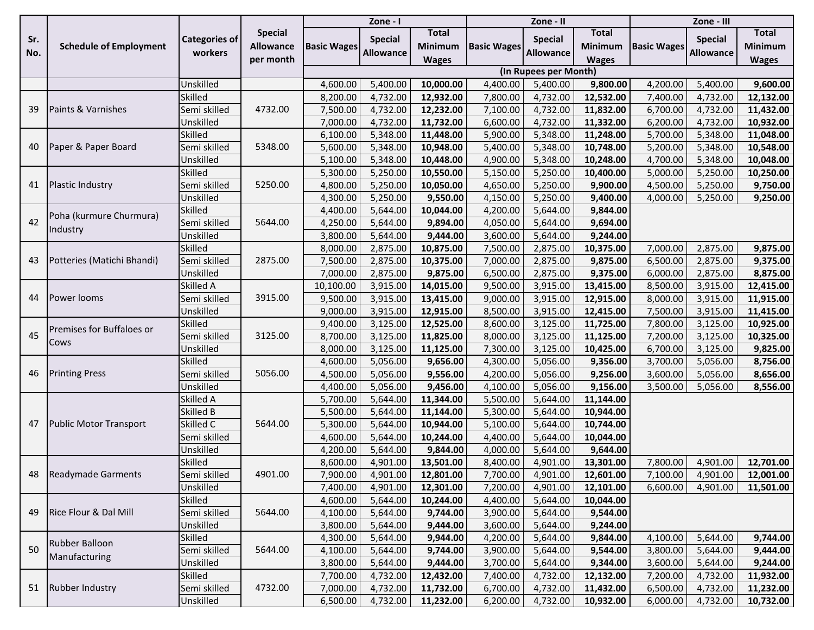|     |                                   |                      |                  |                    | Zone - I         |                |                    | Zone - II             |                |                    | Zone - III       |                |
|-----|-----------------------------------|----------------------|------------------|--------------------|------------------|----------------|--------------------|-----------------------|----------------|--------------------|------------------|----------------|
| Sr. |                                   | <b>Categories of</b> | <b>Special</b>   |                    | <b>Special</b>   | Total          |                    | <b>Special</b>        | <b>Total</b>   |                    | <b>Special</b>   | Total          |
| No. | <b>Schedule of Employment</b>     | workers              | <b>Allowance</b> | <b>Basic Wages</b> | <b>Allowance</b> | <b>Minimum</b> | <b>Basic Wages</b> | <b>Allowance</b>      | <b>Minimum</b> | <b>Basic Wages</b> | <b>Allowance</b> | <b>Minimum</b> |
|     |                                   |                      | per month        |                    |                  | <b>Wages</b>   |                    |                       | <b>Wages</b>   |                    |                  | <b>Wages</b>   |
|     |                                   |                      |                  |                    |                  |                |                    | (In Rupees per Month) |                |                    |                  |                |
|     |                                   | Unskilled            |                  | 4,600.00           | 5,400.00         | 10,000.00      | 4,400.00           | 5,400.00              | 9,800.00       | 4,200.00           | 5,400.00         | 9,600.00       |
|     |                                   | Skilled              |                  | 8,200.00           | 4,732.00         | 12,932.00      | 7,800.00           | 4,732.00              | 12,532.00      | 7,400.00           | 4,732.00         | 12,132.00      |
| 39  | Paints & Varnishes                | Semi skilled         | 4732.00          | 7,500.00           | 4,732.00         | 12,232.00      | 7,100.00           | 4,732.00              | 11,832.00      | 6,700.00           | 4,732.00         | 11,432.00      |
|     |                                   | Unskilled            |                  | 7,000.00           | 4,732.00         | 11,732.00      | 6,600.00           | 4,732.00              | 11,332.00      | 6,200.00           | 4,732.00         | 10,932.00      |
|     |                                   | Skilled              |                  | 6,100.00           | 5,348.00         | 11,448.00      | 5,900.00           | 5,348.00              | 11,248.00      | 5,700.00           | 5,348.00         | 11,048.00      |
| 40  | Paper & Paper Board               | Semi skilled         | 5348.00          | 5,600.00           | 5,348.00         | 10,948.00      | 5,400.00           | 5,348.00              | 10,748.00      | 5,200.00           | 5,348.00         | 10,548.00      |
|     |                                   | Unskilled            |                  | 5,100.00           | 5,348.00         | 10,448.00      | 4,900.00           | 5,348.00              | 10,248.00      | 4,700.00           | 5,348.00         | 10,048.00      |
|     |                                   | Skilled              |                  | 5,300.00           | 5,250.00         | 10,550.00      | 5,150.00           | 5,250.00              | 10,400.00      | 5,000.00           | 5,250.00         | 10,250.00      |
| 41  | <b>Plastic Industry</b>           | Semi skilled         | 5250.00          | 4,800.00           | 5,250.00         | 10,050.00      | 4,650.00           | 5,250.00              | 9,900.00       | 4,500.00           | 5,250.00         | 9,750.00       |
|     |                                   | Unskilled            |                  | 4,300.00           | 5,250.00         | 9,550.00       | 4,150.00           | 5,250.00              | 9,400.00       | 4,000.00           | 5,250.00         | 9,250.00       |
|     | Poha (kurmure Churmura)           | Skilled              |                  | 4,400.00           | 5,644.00         | 10,044.00      | 4,200.00           | 5,644.00              | 9,844.00       |                    |                  |                |
| 42  | Industry                          | Semi skilled         | 5644.00          | 4,250.00           | 5,644.00         | 9,894.00       | 4,050.00           | 5,644.00              | 9,694.00       |                    |                  |                |
|     |                                   | Unskilled            |                  | 3,800.00           | 5,644.00         | 9,444.00       | 3,600.00           | 5,644.00              | 9,244.00       |                    |                  |                |
|     | Potteries (Matichi Bhandi)        | Skilled              | 2875.00          | 8,000.00           | 2,875.00         | 10,875.00      | 7,500.00           | 2,875.00              | 10,375.00      | 7,000.00           | 2,875.00         | 9,875.00       |
| 43  |                                   | Semi skilled         |                  | 7,500.00           | 2,875.00         | 10,375.00      | 7,000.00           | 2,875.00              | 9,875.00       | 6,500.00           | 2,875.00         | 9,375.00       |
|     |                                   | Unskilled            |                  | 7,000.00           | 2,875.00         | 9,875.00       | 6,500.00           | 2,875.00              | 9,375.00       | 6,000.00           | 2,875.00         | 8,875.00       |
|     | Power looms                       | Skilled A            | 3915.00          | 10,100.00          | 3,915.00         | 14,015.00      | 9,500.00           | 3,915.00              | 13,415.00      | 8,500.00           | 3,915.00         | 12,415.00      |
| 44  |                                   | Semi skilled         |                  | 9,500.00           | 3,915.00         | 13,415.00      | 9,000.00           | 3,915.00              | 12,915.00      | 8,000.00           | 3,915.00         | 11,915.00      |
|     |                                   | Unskilled            |                  | 9,000.00           | 3,915.00         | 12,915.00      | 8,500.00           | 3,915.00              | 12,415.00      | 7,500.00           | 3,915.00         | 11,415.00      |
|     | Premises for Buffaloes or<br>Cows | Skilled              | 3125.00          | 9,400.00           | 3,125.00         | 12,525.00      | 8,600.00           | 3,125.00              | 11,725.00      | 7,800.00           | 3,125.00         | 10,925.00      |
| 45  |                                   | Semi skilled         |                  | 8,700.00           | 3,125.00         | 11,825.00      | 8,000.00           | 3,125.00              | 11,125.00      | 7,200.00           | 3,125.00         | 10,325.00      |
|     |                                   | Unskilled            |                  | 8,000.00           | 3,125.00         | 11,125.00      | 7,300.00           | 3,125.00              | 10,425.00      | 6,700.00           | 3,125.00         | 9,825.00       |
|     |                                   | Skilled              |                  | 4,600.00           | 5,056.00         | 9,656.00       | 4,300.00           | 5,056.00              | 9,356.00       | 3,700.00           | 5,056.00         | 8,756.00       |
| 46  | <b>Printing Press</b>             | Semi skilled         | 5056.00          | 4,500.00           | 5,056.00         | 9,556.00       | 4,200.00           | 5,056.00              | 9,256.00       | 3,600.00           | 5,056.00         | 8,656.00       |
|     |                                   | Unskilled            |                  | 4,400.00           | 5,056.00         | 9,456.00       | 4,100.00           | 5,056.00              | 9,156.00       | 3,500.00           | 5,056.00         | 8,556.00       |
|     |                                   | Skilled A            | 5644.00          | 5,700.00           | 5,644.00         | 11,344.00      | 5,500.00           | 5,644.00              | 11,144.00      |                    |                  |                |
|     | <b>Public Motor Transport</b>     | Skilled B            |                  | 5,500.00           | 5,644.00         | 11,144.00      | 5,300.00           | 5,644.00              | 10,944.00      |                    |                  |                |
| 47  |                                   | Skilled C            |                  | 5,300.00           | 5,644.00         | 10,944.00      | 5,100.00           | 5,644.00              | 10,744.00      |                    |                  |                |
|     |                                   | Semi skilled         |                  | 4,600.00           | 5,644.00         | 10,244.00      | 4,400.00           | 5,644.00              | 10,044.00      |                    |                  |                |
|     |                                   | Unskilled            |                  | 4,200.00           | 5,644.00         | 9,844.00       | 4,000.00           | 5,644.00              | 9,644.00       |                    |                  |                |
|     |                                   | Skilled              |                  | 8,600.00           | 4,901.00         | 13,501.00      | 8,400.00           | 4,901.00              | 13,301.00      | 7,800.00           | 4,901.00         | 12,701.00      |
|     | 48   Readymade Garments           | Semi skilled         | 4901.00          | 7,900.00           | 4,901.00         | 12,801.00      | 7,700.00           | 4,901.00              | 12,601.00      | 7,100.00           | 4,901.00         | 12,001.00      |
|     |                                   | Unskilled            |                  | 7,400.00           | 4,901.00         | 12,301.00      | 7,200.00           | 4,901.00              | 12,101.00      | 6,600.00           | 4,901.00         | 11,501.00      |
|     |                                   | <b>Skilled</b>       |                  | 4,600.00           | 5,644.00         | 10,244.00      | 4,400.00           | 5,644.00              | 10,044.00      |                    |                  |                |
| 49  | Rice Flour & Dal Mill             | Semi skilled         | 5644.00          | 4,100.00           | 5,644.00         | 9,744.00       | 3,900.00           | 5,644.00              | 9,544.00       |                    |                  |                |
|     |                                   | Unskilled            |                  | 3,800.00           | 5,644.00         | 9,444.00       | 3,600.00           | 5,644.00              | 9,244.00       |                    |                  |                |
|     | Rubber Balloon                    | <b>Skilled</b>       |                  | 4,300.00           | 5,644.00         | 9,944.00       | 4,200.00           | 5,644.00              | 9,844.00       | 4,100.00           | 5,644.00         | 9,744.00       |
| 50  | Manufacturing                     | Semi skilled         | 5644.00          | 4,100.00           | 5,644.00         | 9,744.00       | 3,900.00           | 5,644.00              | 9,544.00       | 3,800.00           | 5,644.00         | 9,444.00       |
|     |                                   | Unskilled            |                  | 3,800.00           | 5,644.00         | 9,444.00       | 3,700.00           | 5,644.00              | 9,344.00       | 3,600.00           | 5,644.00         | 9,244.00       |
|     |                                   | <b>Skilled</b>       |                  | 7,700.00           | 4,732.00         | 12,432.00      | 7,400.00           | 4,732.00              | 12,132.00      | 7,200.00           | 4,732.00         | 11,932.00      |
|     | 51 Rubber Industry                | Semi skilled         | 4732.00          | 7,000.00           | 4,732.00         | 11,732.00      | 6,700.00           | 4,732.00              | 11,432.00      | 6,500.00           | 4,732.00         | 11,232.00      |
|     |                                   | Unskilled            |                  | 6,500.00           | 4,732.00         | 11,232.00      | 6,200.00           | 4,732.00              | 10,932.00      | 6,000.00           | 4,732.00         | 10,732.00      |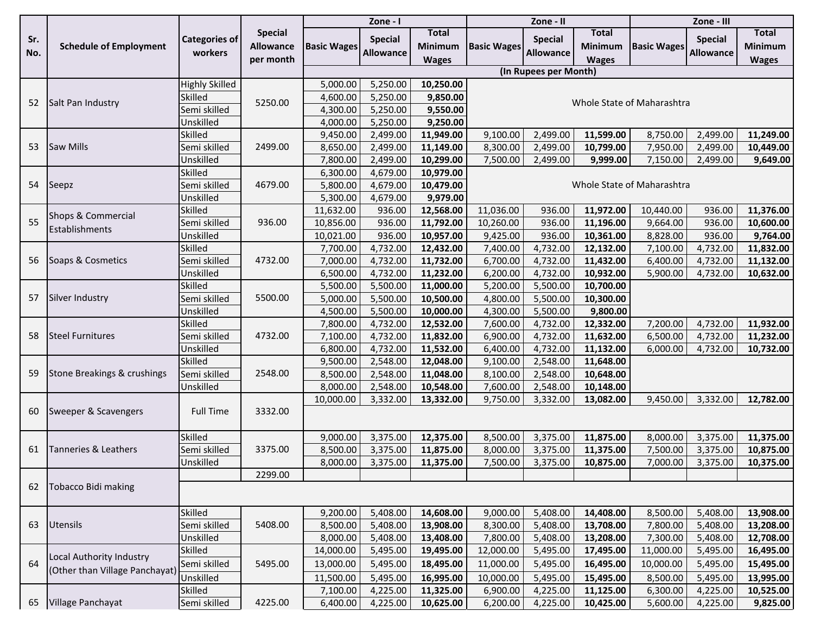|     | Zone - I<br>Zone - II          |                       |                  |                    |                  |                | Zone - III                 |                       |                |                            |                  |              |  |  |  |
|-----|--------------------------------|-----------------------|------------------|--------------------|------------------|----------------|----------------------------|-----------------------|----------------|----------------------------|------------------|--------------|--|--|--|
|     |                                |                       | <b>Special</b>   |                    | <b>Special</b>   | Total          |                            | <b>Special</b>        | <b>Total</b>   |                            | <b>Special</b>   | Total        |  |  |  |
| Sr. | <b>Schedule of Employment</b>  | <b>Categories of</b>  | <b>Allowance</b> | <b>Basic Wages</b> |                  | <b>Minimum</b> | <b>Basic Wages</b>         |                       | <b>Minimum</b> | <b>Basic Wages</b>         |                  | Minimum      |  |  |  |
| No. |                                | workers               | per month        |                    | <b>Allowance</b> | <b>Wages</b>   |                            | <b>Allowance</b>      | <b>Wages</b>   |                            | <b>Allowance</b> | <b>Wages</b> |  |  |  |
|     |                                |                       |                  |                    |                  |                |                            | (In Rupees per Month) |                |                            |                  |              |  |  |  |
|     |                                | <b>Highly Skilled</b> |                  | 5,000.00           | 5,250.00         | 10,250.00      |                            |                       |                |                            |                  |              |  |  |  |
|     |                                | Skilled               |                  | 4,600.00           | 5,250.00         | 9,850.00       |                            |                       |                |                            |                  |              |  |  |  |
| 52  | Salt Pan Industry              | Semi skilled          | 5250.00          | 4,300.00           | 5,250.00         | 9,550.00       | Whole State of Maharashtra |                       |                |                            |                  |              |  |  |  |
|     |                                | Unskilled             |                  | 4,000.00           | 5,250.00         | 9,250.00       |                            |                       |                |                            |                  |              |  |  |  |
|     |                                | Skilled               |                  | 9,450.00           | 2,499.00         | 11,949.00      | 9,100.00                   | 2,499.00              | 11,599.00      | 8,750.00                   | 2,499.00         | 11,249.00    |  |  |  |
| 53  | Saw Mills                      | Semi skilled          | 2499.00          | 8,650.00           | 2,499.00         | 11,149.00      | 8,300.00                   | 2,499.00              | 10,799.00      | 7,950.00                   | 2,499.00         | 10,449.00    |  |  |  |
|     |                                | Unskilled             |                  | 7,800.00           | 2,499.00         | 10,299.00      | 7,500.00                   | 2,499.00              | 9,999.00       | 7,150.00                   | 2,499.00         | 9,649.00     |  |  |  |
|     |                                | Skilled               |                  | 6,300.00           | 4,679.00         | 10,979.00      |                            |                       |                |                            |                  |              |  |  |  |
| 54  | Seepz                          | Semi skilled          | 4679.00          | 5,800.00           | 4,679.00         | 10,479.00      |                            |                       |                | Whole State of Maharashtra |                  |              |  |  |  |
|     |                                | Unskilled             |                  | 5,300.00           | 4,679.00         | 9,979.00       |                            |                       |                |                            |                  |              |  |  |  |
|     | Shops & Commercial             | Skilled               |                  | 11,632.00          | 936.00           | 12,568.00      | 11,036.00                  | 936.00                | 11,972.00      | 10,440.00                  | 936.00           | 11,376.00    |  |  |  |
| 55  |                                | Semi skilled          | 936.00           | 10,856.00          | 936.00           | 11,792.00      | 10,260.00                  | 936.00                | 11,196.00      | 9,664.00                   | 936.00           | 10,600.00    |  |  |  |
|     | Establishments                 | Unskilled             |                  | 10,021.00          | 936.00           | 10,957.00      | 9,425.00                   | 936.00                | 10,361.00      | 8,828.00                   | 936.00           | 9,764.00     |  |  |  |
|     | Soaps & Cosmetics              | Skilled               |                  | 7,700.00           | 4,732.00         | 12,432.00      | 7,400.00                   | 4,732.00              | 12,132.00      | 7,100.00                   | 4,732.00         | 11,832.00    |  |  |  |
| 56  |                                | Semi skilled          | 4732.00          | 7,000.00           | 4,732.00         | 11,732.00      | 6,700.00                   | 4,732.00              | 11,432.00      | 6,400.00                   | 4,732.00         | 11,132.00    |  |  |  |
|     |                                | Unskilled             |                  | 6,500.00           | 4,732.00         | 11,232.00      | 6,200.00                   | 4,732.00              | 10,932.00      | 5,900.00                   | 4,732.00         | 10,632.00    |  |  |  |
|     | Silver Industry                | Skilled               | 5500.00          | 5,500.00           | 5,500.00         | 11,000.00      | 5,200.00                   | 5,500.00              | 10,700.00      |                            |                  |              |  |  |  |
| 57  |                                | Semi skilled          |                  | 5,000.00           | 5,500.00         | 10,500.00      | 4,800.00                   | 5,500.00              | 10,300.00      |                            |                  |              |  |  |  |
|     |                                | Unskilled             |                  | 4,500.00           | 5,500.00         | 10,000.00      | 4,300.00                   | 5,500.00              | 9,800.00       |                            |                  |              |  |  |  |
|     | <b>Steel Furnitures</b>        | Skilled               | 4732.00          | 7,800.00           | 4,732.00         | 12,532.00      | 7,600.00                   | 4,732.00              | 12,332.00      | 7,200.00                   | 4,732.00         | 11,932.00    |  |  |  |
| 58  |                                | Semi skilled          |                  | 7,100.00           | 4,732.00         | 11,832.00      | 6,900.00                   | 4,732.00              | 11,632.00      | 6,500.00                   | 4,732.00         | 11,232.00    |  |  |  |
|     |                                | Unskilled             |                  | 6,800.00           | 4,732.00         | 11,532.00      | 6,400.00                   | 4,732.00              | 11,132.00      | 6,000.00                   | 4,732.00         | 10,732.00    |  |  |  |
|     |                                | Skilled               |                  | 9,500.00           | 2,548.00         | 12,048.00      | 9,100.00                   | 2,548.00              | 11,648.00      |                            |                  |              |  |  |  |
| 59  | Stone Breakings & crushings    | Semi skilled          | 2548.00          | 8,500.00           | 2,548.00         | 11,048.00      | 8,100.00                   | 2,548.00              | 10,648.00      |                            |                  |              |  |  |  |
|     |                                | Unskilled             |                  | 8,000.00           | 2,548.00         | 10,548.00      | 7,600.00                   | 2,548.00              | 10,148.00      |                            |                  |              |  |  |  |
|     |                                |                       |                  | 10,000.00          | 3,332.00         | 13,332.00      | 9,750.00                   | 3,332.00              | 13,082.00      | 9,450.00                   | 3,332.00         | 12,782.00    |  |  |  |
| 60  | Sweeper & Scavengers           | <b>Full Time</b>      | 3332.00          |                    |                  |                |                            |                       |                |                            |                  |              |  |  |  |
|     |                                |                       |                  |                    |                  |                |                            |                       |                |                            |                  |              |  |  |  |
|     |                                | Skilled               |                  | 9,000.00           | 3,375.00         | 12,375.00      | 8,500.00                   | 3,375.00              | 11,875.00      | 8,000.00                   | 3,375.00         | 11,375.00    |  |  |  |
| 61  | Tanneries & Leathers           | Semi skilled          | 3375.00          | 8,500.00           | 3,375.00         | 11,875.00      | 8,000.00                   | 3,375.00              | 11,375.00      | 7,500.00                   | 3,375.00         | 10,875.00    |  |  |  |
|     |                                | Unskilled             |                  | 8,000.00           | 3,375.00         | 11,375.00      | 7,500.00                   | 3,375.00              | 10,875.00      | 7,000.00                   | 3,375.00         | 10,375.00    |  |  |  |
|     |                                |                       | 2299.00          |                    |                  |                |                            |                       |                |                            |                  |              |  |  |  |
| 62  | Tobacco Bidi making            |                       |                  |                    |                  |                |                            |                       |                |                            |                  |              |  |  |  |
|     |                                |                       |                  |                    |                  |                |                            |                       |                |                            |                  |              |  |  |  |
|     |                                | Skilled               |                  | 9,200.00           | 5,408.00         | 14,608.00      | 9,000.00                   | 5,408.00              | 14,408.00      | 8,500.00                   | 5,408.00         | 13,908.00    |  |  |  |
| 63  | Utensils                       | Semi skilled          | 5408.00          | 8,500.00           | 5,408.00         | 13,908.00      | 8,300.00                   | 5,408.00              | 13,708.00      | 7,800.00                   | 5,408.00         | 13,208.00    |  |  |  |
|     |                                | Unskilled             |                  | 8,000.00           | 5,408.00         | 13,408.00      | 7,800.00                   | 5,408.00              | 13,208.00      | 7,300.00                   | 5,408.00         | 12,708.00    |  |  |  |
|     |                                | Skilled               |                  | 14,000.00          | 5,495.00         | 19,495.00      | 12,000.00                  | 5,495.00              | 17,495.00      | 11,000.00                  | 5,495.00         | 16,495.00    |  |  |  |
| 64  | Local Authority Industry       | Semi skilled          | 5495.00          | 13,000.00          | 5,495.00         | 18,495.00      | 11,000.00                  | 5,495.00              | 16,495.00      | 10,000.00                  | 5,495.00         | 15,495.00    |  |  |  |
|     | (Other than Village Panchayat) | Unskilled             |                  | 11,500.00          | 5,495.00         | 16,995.00      | 10,000.00                  | 5,495.00              | 15,495.00      | 8,500.00                   | 5,495.00         | 13,995.00    |  |  |  |
|     |                                | Skilled               |                  | 7,100.00           | 4,225.00         | 11,325.00      | 6,900.00                   | 4,225.00              | 11,125.00      | 6,300.00                   | 4,225.00         | 10,525.00    |  |  |  |
| 65  | Village Panchayat              | Semi skilled          | 4225.00          | 6,400.00           | 4,225.00         | 10,625.00      | 6,200.00                   | 4,225.00              | 10,425.00      | 5,600.00                   | 4,225.00         | 9,825.00     |  |  |  |
|     |                                |                       |                  |                    |                  |                |                            |                       |                |                            |                  |              |  |  |  |